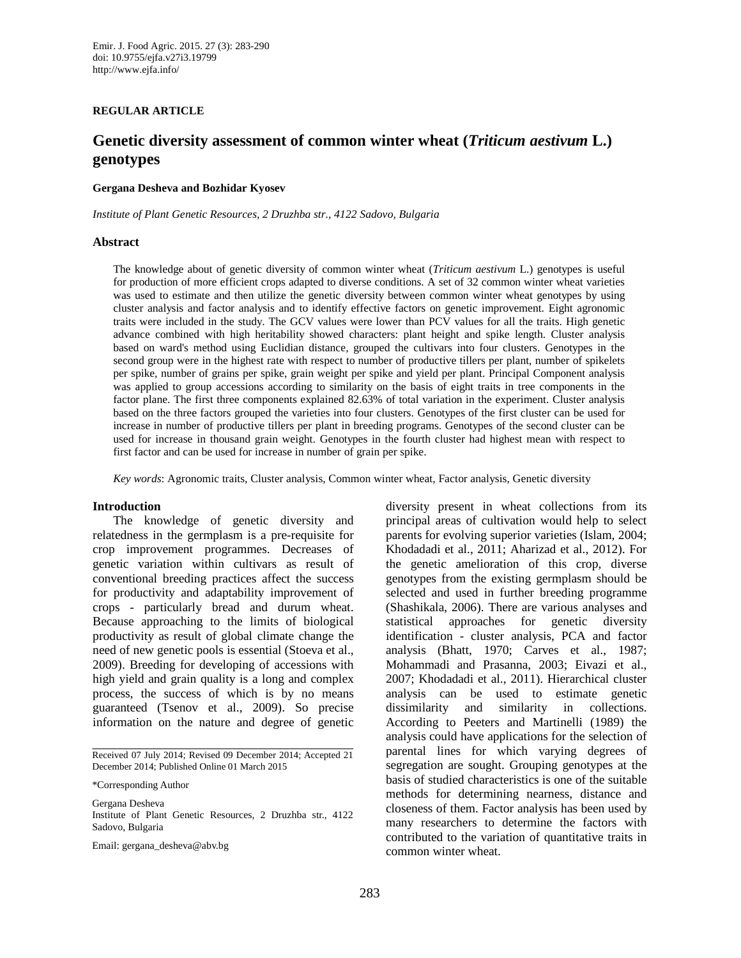#### **REGULAR ARTICLE**

# **Genetic diversity assessment of common winter wheat (***Triticum aestivum* **L.) genotypes**

#### **Gergana Desheva and Bozhidar Kyosev**

*Institute of Plant Genetic Resources, 2 Druzhba str., 4122 Sadovo, Bulgaria*

#### **Abstract**

The knowledge about of genetic diversity of common winter wheat (*Triticum aestivum* L.) genotypes is useful for production of more efficient crops adapted to diverse conditions. A set of 32 common winter wheat varieties was used to estimate and then utilize the genetic diversity between common winter wheat genotypes by using cluster analysis and factor analysis and to identify effective factors on genetic improvement. Eight agronomic traits were included in the study. The GCV values were lower than PCV values for all the traits. High genetic advance combined with high heritability showed characters: plant height and spike length. Cluster analysis based on ward's method using Euclidian distance, grouped the cultivars into four clusters. Genotypes in the second group were in the highest rate with respect to number of productive tillers per plant, number of spikelets per spike, number of grains per spike, grain weight per spike and yield per plant. Principal Component analysis was applied to group accessions according to similarity on the basis of eight traits in tree components in the factor plane. The first three components explained 82.63% of total variation in the experiment. Cluster analysis based on the three factors grouped the varieties into four clusters. Genotypes of the first cluster can be used for increase in number of productive tillers per plant in breeding programs. Genotypes of the second cluster can be used for increase in thousand grain weight. Genotypes in the fourth cluster had highest mean with respect to first factor and can be used for increase in number of grain per spike.

*Key words*: Agronomic traits, Cluster analysis, Common winter wheat, Factor analysis, Genetic diversity

#### **Introduction**

The knowledge of genetic diversity and relatedness in the germplasm is a pre-requisite for crop improvement programmes. Decreases of genetic variation within cultivars as result of conventional breeding practices affect the success for productivity and adaptability improvement of crops - particularly bread and durum wheat. Because approaching to the limits of biological productivity as result of global climate change the need of new genetic pools is essential (Stoeva et al., 2009). Breeding for developing of accessions with high yield and grain quality is a long and complex process, the success of which is by no means guaranteed (Tsenov et al., 2009). So precise information on the nature and degree of genetic

Received 07 July 2014; Revised 09 December 2014; Accepted 21 December 2014; Published Online 01 March 2015

\*Corresponding Author

Gergana Desheva Institute of Plant Genetic Resources, 2 Druzhba str., 4122 Sadovo, Bulgaria

Email: gergana\_desheva@abv.bg

diversity present in wheat collections from its principal areas of cultivation would help to select parents for evolving superior varieties (Islam, 2004; Khodadadi et al., 2011; Aharizad et al., 2012). For the genetic amelioration of this crop, diverse genotypes from the existing germplasm should be selected and used in further breeding programme (Shashikala, 2006). There are various analyses and statistical approaches for genetic diversity identification - cluster analysis, PCA and factor analysis (Bhatt, 1970; Carves et al., 1987; Mohammadi and Prasanna, 2003; Eivazi et al., 2007; Khodadadi et al., 2011). Hierarchical cluster analysis can be used to estimate genetic dissimilarity and similarity in collections. According to Peeters and Martinelli (1989) the analysis could have applications for the selection of parental lines for which varying degrees of segregation are sought. Grouping genotypes at the basis of studied characteristics is one of the suitable methods for determining nearness, distance and closeness of them. Factor analysis has been used by many researchers to determine the factors with contributed to the variation of quantitative traits in common winter wheat.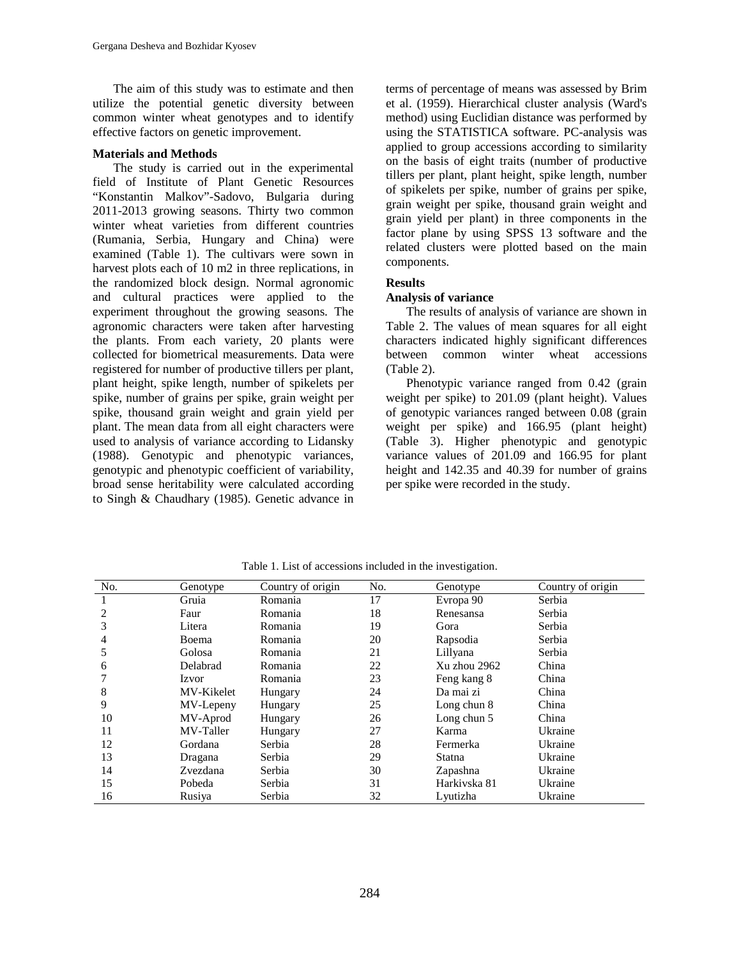The aim of this study was to estimate and then utilize the potential genetic diversity between common winter wheat genotypes and to identify effective factors on genetic improvement.

### **Materials and Methods**

The study is carried out in the experimental field of Institute of Plant Genetic Resources "Konstantin Malkov"-Sadovo, Bulgaria during 2011-2013 growing seasons. Thirty two common winter wheat varieties from different countries (Rumania, Serbia, Hungary and China) were examined (Table 1). The cultivars were sown in harvest plots each of 10 m2 in three replications, in the randomized block design. Normal agronomic and cultural practices were applied to the experiment throughout the growing seasons. The agronomic characters were taken after harvesting the plants. From each variety, 20 plants were collected for biometrical measurements. Data were registered for number of productive tillers per plant, plant height, spike length, number of spikelets per spike, number of grains per spike, grain weight per spike, thousand grain weight and grain yield per plant. The mean data from all eight characters were used to analysis of variance according to Lidansky (1988). Genotypic and phenotypic variances, genotypic and phenotypic coefficient of variability, broad sense heritability were calculated according to Singh & Chaudhary (1985). Genetic advance in terms of percentage of means was assessed by Brim et al. (1959). Hierarchical cluster analysis (Ward's method) using Euclidian distance was performed by using the STATISTICA software. PC-analysis was applied to group accessions according to similarity on the basis of eight traits (number of productive tillers per plant, plant height, spike length, number of spikelets per spike, number of grains per spike, grain weight per spike, thousand grain weight and grain yield per plant) in three components in the factor plane by using SPSS 13 software and the related clusters were plotted based on the main components.

### **Results**

# **Analysis of variance**

The results of analysis of variance are shown in Table 2. The values of mean squares for all eight characters indicated highly significant differences between common winter wheat accessions (Table 2).

Phenotypic variance ranged from 0.42 (grain weight per spike) to 201.09 (plant height). Values of genotypic variances ranged between 0.08 (grain weight per spike) and 166.95 (plant height) (Table 3). Higher phenotypic and genotypic variance values of 201.09 and 166.95 for plant height and 142.35 and 40.39 for number of grains per spike were recorded in the study.

| No. | Genotype   | Country of origin | No. | Genotype      | Country of origin |
|-----|------------|-------------------|-----|---------------|-------------------|
|     | Gruia      | Romania           | 17  | Evropa 90     | Serbia            |
| 2   | Faur       | Romania           | 18  | Renesansa     | Serbia            |
| 3   | Litera     | Romania           | 19  | Gora          | Serbia            |
| 4   | Boema      | Romania           | 20  | Rapsodia      | Serbia            |
| 5   | Golosa     | Romania           | 21  | Lillyana      | Serbia            |
| 6   | Delabrad   | Romania           | 22  | Xu zhou 2962  | China             |
|     | Izvor      | Romania           | 23  | Feng kang 8   | China             |
| 8   | MV-Kikelet | Hungary           | 24  | Da mai zi     | China             |
| 9   | MV-Lepeny  | Hungary           | 25  | Long chun $8$ | China             |
| 10  | MV-Aprod   | Hungary           | 26  | Long chun 5   | China             |
| 11  | MV-Taller  | Hungary           | 27  | Karma         | Ukraine           |
| 12  | Gordana    | Serbia            | 28  | Fermerka      | Ukraine           |
| 13  | Dragana    | Serbia            | 29  | Statna        | Ukraine           |
| 14  | Zvezdana   | Serbia            | 30  | Zapashna      | Ukraine           |
| 15  | Pobeda     | Serbia            | 31  | Harkiyska 81  | Ukraine           |
| 16  | Rusiya     | Serbia            | 32  | Lyutizha      | Ukraine           |

Table 1. List of accessions included in the investigation.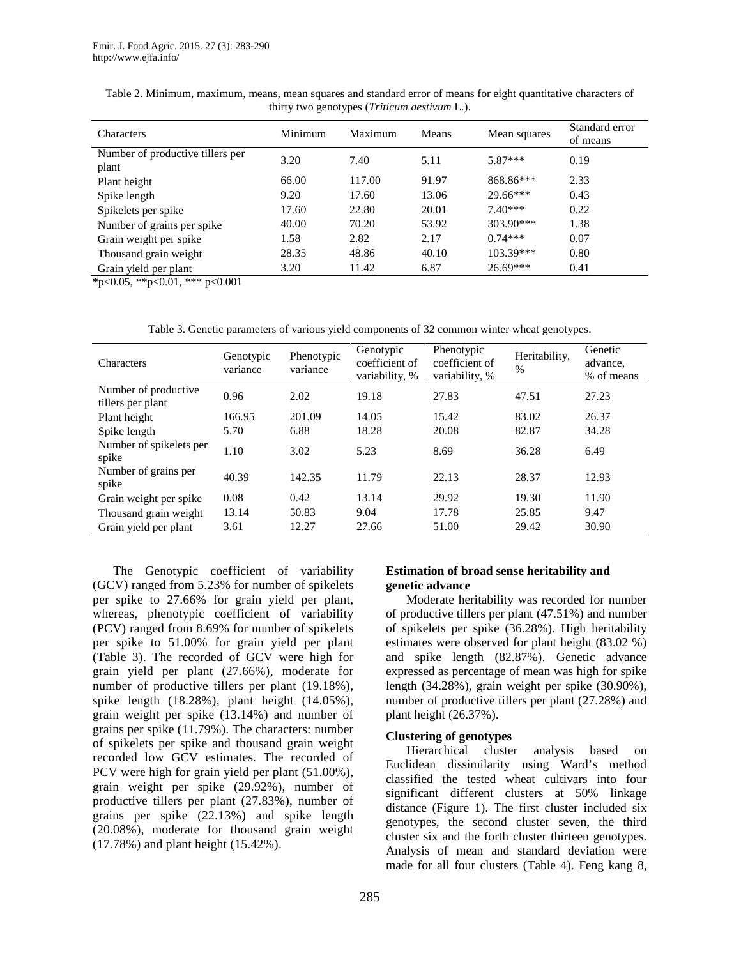| <b>Characters</b>                         | Minimum | Maximum | Means | Mean squares | Standard error<br>of means |
|-------------------------------------------|---------|---------|-------|--------------|----------------------------|
| Number of productive tillers per<br>plant | 3.20    | 7.40    | 5.11  | $5.87***$    | 0.19                       |
| Plant height                              | 66.00   | 117.00  | 91.97 | 868.86***    | 2.33                       |
| Spike length                              | 9.20    | 17.60   | 13.06 | $29.66***$   | 0.43                       |
| Spikelets per spike                       | 17.60   | 22.80   | 20.01 | $7.40***$    | 0.22                       |
| Number of grains per spike                | 40.00   | 70.20   | 53.92 | $303.90***$  | 1.38                       |
| Grain weight per spike                    | 1.58    | 2.82    | 2.17  | $0.74***$    | 0.07                       |
| Thousand grain weight                     | 28.35   | 48.86   | 40.10 | 103.39***    | 0.80                       |
| Grain yield per plant                     | 3.20    | 11.42   | 6.87  | $26.69***$   | 0.41                       |

Table 2. Minimum, maximum, means, mean squares and standard error of means for eight quantitative characters of thirty two genotypes (*Triticum aestivum* L.).

 $\overline{\ast}$  <0.05,  $\overline{\ast}$  <0.01,  $\overline{\ast}$  <0.001

Table 3. Genetic parameters of various yield components of 32 common winter wheat genotypes.

| Characters                                | Genotypic<br>variance | Phenotypic<br>variance | Genotypic<br>coefficient of<br>variability, % | Phenotypic<br>coefficient of<br>variability, % | Heritability,<br>$\%$ | Genetic<br>advance,<br>% of means |
|-------------------------------------------|-----------------------|------------------------|-----------------------------------------------|------------------------------------------------|-----------------------|-----------------------------------|
| Number of productive<br>tillers per plant | 0.96                  | 2.02                   | 19.18                                         | 27.83                                          | 47.51                 | 27.23                             |
| Plant height                              | 166.95                | 201.09                 | 14.05                                         | 15.42                                          | 83.02                 | 26.37                             |
| Spike length                              | 5.70                  | 6.88                   | 18.28                                         | 20.08                                          | 82.87                 | 34.28                             |
| Number of spikelets per<br>spike          | 1.10                  | 3.02                   | 5.23                                          | 8.69                                           | 36.28                 | 6.49                              |
| Number of grains per<br>spike             | 40.39                 | 142.35                 | 11.79                                         | 22.13                                          | 28.37                 | 12.93                             |
| Grain weight per spike                    | 0.08                  | 0.42                   | 13.14                                         | 29.92                                          | 19.30                 | 11.90                             |
| Thousand grain weight                     | 13.14                 | 50.83                  | 9.04                                          | 17.78                                          | 25.85                 | 9.47                              |
| Grain yield per plant                     | 3.61                  | 12.27                  | 27.66                                         | 51.00                                          | 29.42                 | 30.90                             |

The Genotypic coefficient of variability (GCV) ranged from 5.23% for number of spikelets per spike to 27.66% for grain yield per plant, whereas, phenotypic coefficient of variability (PCV) ranged from 8.69% for number of spikelets per spike to 51.00% for grain yield per plant (Table 3). The recorded of GCV were high for grain yield per plant (27.66%), moderate for number of productive tillers per plant (19.18%), spike length (18.28%), plant height (14.05%), grain weight per spike (13.14%) and number of grains per spike (11.79%). The characters: number of spikelets per spike and thousand grain weight recorded low GCV estimates. The recorded of PCV were high for grain yield per plant (51.00%), grain weight per spike (29.92%), number of productive tillers per plant (27.83%), number of grains per spike (22.13%) and spike length (20.08%), moderate for thousand grain weight (17.78%) and plant height (15.42%).

### **Estimation of broad sense heritability and genetic advance**

Moderate heritability was recorded for number of productive tillers per plant (47.51%) and number of spikelets per spike (36.28%). High heritability estimates were observed for plant height (83.02 %) and spike length (82.87%). Genetic advance expressed as percentage of mean was high for spike length (34.28%), grain weight per spike (30.90%), number of productive tillers per plant (27.28%) and plant height (26.37%).

### **Clustering of genotypes**

Hierarchical cluster analysis based on Euclidean dissimilarity using Ward's method classified the tested wheat cultivars into four significant different clusters at 50% linkage distance (Figure 1). The first cluster included six genotypes, the second cluster seven, the third cluster six and the forth cluster thirteen genotypes. Analysis of mean and standard deviation were made for all four clusters (Table 4). Feng kang 8,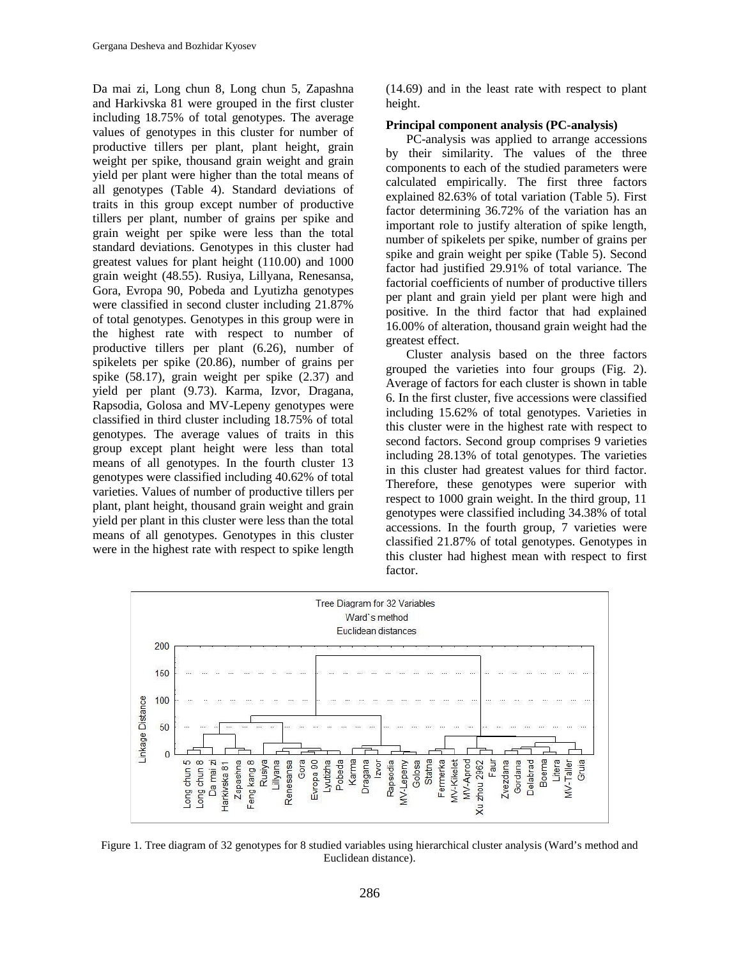Da mai zi, Long chun 8, Long chun 5, Zapashna and Harkivska 81 were grouped in the first cluster including 18.75% of total genotypes. The average values of genotypes in this cluster for number of productive tillers per plant, plant height, grain weight per spike, thousand grain weight and grain yield per plant were higher than the total means of all genotypes (Table 4). Standard deviations of traits in this group except number of productive tillers per plant, number of grains per spike and grain weight per spike were less than the total standard deviations. Genotypes in this cluster had greatest values for plant height (110.00) and 1000 grain weight (48.55). Rusiya, Lillyana, Renesansa, Gora, Evropa 90, Pobeda and Lyutizha genotypes were classified in second cluster including 21.87% of total genotypes. Genotypes in this group were in the highest rate with respect to number of productive tillers per plant (6.26), number of spikelets per spike (20.86), number of grains per spike (58.17), grain weight per spike (2.37) and yield per plant (9.73). Karma, Izvor, Dragana, Rapsodia, Golosa and MV-Lepeny genotypes were classified in third cluster including 18.75% of total genotypes. The average values of traits in this group except plant height were less than total means of all genotypes. In the fourth cluster 13 genotypes were classified including 40.62% of total varieties. Values of number of productive tillers per plant, plant height, thousand grain weight and grain yield per plant in this cluster were less than the total means of all genotypes. Genotypes in this cluster were in the highest rate with respect to spike length (14.69) and in the least rate with respect to plant height.

#### **Principal component analysis (PC-analysis)**

PC-analysis was applied to arrange accessions by their similarity. The values of the three components to each of the studied parameters were calculated empirically. The first three factors explained 82.63% of total variation (Table 5). First factor determining 36.72% of the variation has an important role to justify alteration of spike length, number of spikelets per spike, number of grains per spike and grain weight per spike (Table 5). Second factor had justified 29.91% of total variance. The factorial coefficients of number of productive tillers per plant and grain yield per plant were high and positive. In the third factor that had explained 16.00% of alteration, thousand grain weight had the greatest effect.

Cluster analysis based on the three factors grouped the varieties into four groups (Fig. 2). Average of factors for each cluster is shown in table 6. In the first cluster, five accessions were classified including 15.62% of total genotypes. Varieties in this cluster were in the highest rate with respect to second factors. Second group comprises 9 varieties including 28.13% of total genotypes. The varieties in this cluster had greatest values for third factor. Therefore, these genotypes were superior with respect to 1000 grain weight. In the third group, 11 genotypes were classified including 34.38% of total accessions. In the fourth group, 7 varieties were classified 21.87% of total genotypes. Genotypes in this cluster had highest mean with respect to first factor.



Figure 1. Tree diagram of 32 genotypes for 8 studied variables using hierarchical cluster analysis (Ward's method and Euclidean distance).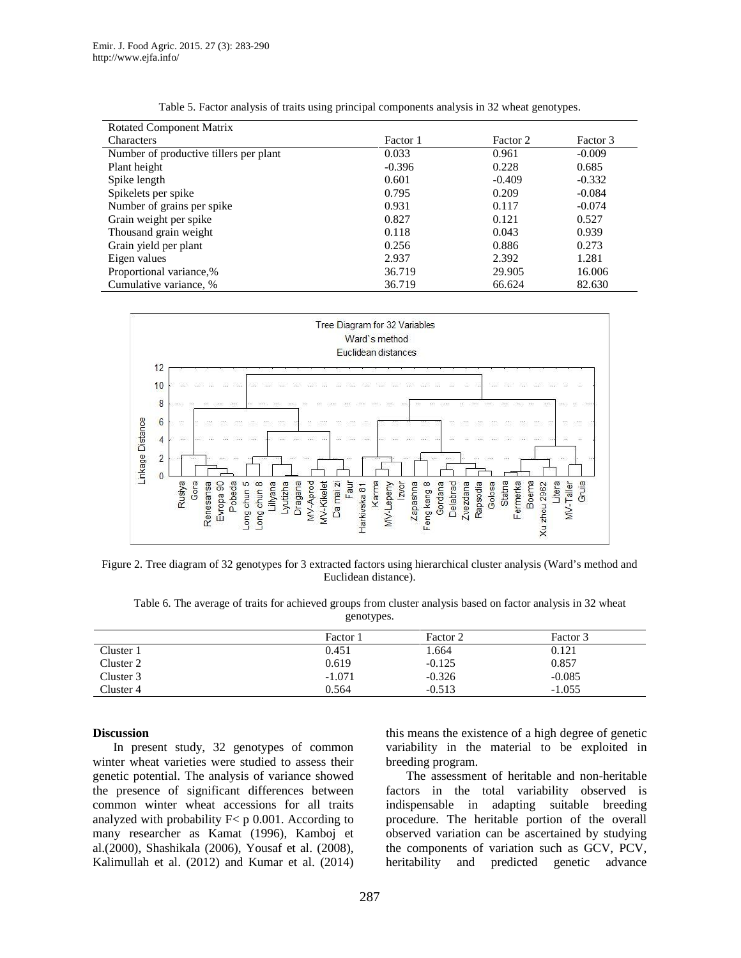| <b>Rotated Component Matrix</b>        |          |          |          |
|----------------------------------------|----------|----------|----------|
| <b>Characters</b>                      | Factor 1 | Factor 2 | Factor 3 |
| Number of productive tillers per plant | 0.033    | 0.961    | $-0.009$ |
| Plant height                           | $-0.396$ | 0.228    | 0.685    |
| Spike length                           | 0.601    | $-0.409$ | $-0.332$ |
| Spikelets per spike                    | 0.795    | 0.209    | $-0.084$ |
| Number of grains per spike             | 0.931    | 0.117    | $-0.074$ |
| Grain weight per spike                 | 0.827    | 0.121    | 0.527    |
| Thousand grain weight                  | 0.118    | 0.043    | 0.939    |
| Grain yield per plant                  | 0.256    | 0.886    | 0.273    |
| Eigen values                           | 2.937    | 2.392    | 1.281    |
| Proportional variance,%                | 36.719   | 29.905   | 16.006   |
| Cumulative variance, %                 | 36.719   | 66.624   | 82.630   |

| Table 5. Factor analysis of traits using principal components analysis in 32 wheat genotypes. |  |  |
|-----------------------------------------------------------------------------------------------|--|--|
|                                                                                               |  |  |



Figure 2. Tree diagram of 32 genotypes for 3 extracted factors using hierarchical cluster analysis (Ward's method and Euclidean distance).

Table 6. The average of traits for achieved groups from cluster analysis based on factor analysis in 32 wheat genotypes.

|           | Factor 1 | Factor 2 | Factor 3 |
|-----------|----------|----------|----------|
| Cluster 1 | 0.451    | 1.664    | 0.121    |
| Cluster 2 | 0.619    | $-0.125$ | 0.857    |
| Cluster 3 | $-1.071$ | $-0.326$ | $-0.085$ |
| Cluster 4 | 0.564    | $-0.513$ | $-1.055$ |

#### **Discussion**

In present study, 32 genotypes of common winter wheat varieties were studied to assess their genetic potential. The analysis of variance showed the presence of significant differences between common winter wheat accessions for all traits analyzed with probability  $F < p 0.001$ . According to many researcher as Kamat (1996), Kamboj et al.(2000), Shashikala (2006), Yousaf et al. (2008), Kalimullah et al. (2012) and Kumar et al. (2014)

this means the existence of a high degree of genetic variability in the material to be exploited in breeding program.

The assessment of heritable and non-heritable factors in the total variability observed is indispensable in adapting suitable breeding procedure. The heritable portion of the overall observed variation can be ascertained by studying the components of variation such as GCV, PCV, and predicted genetic advance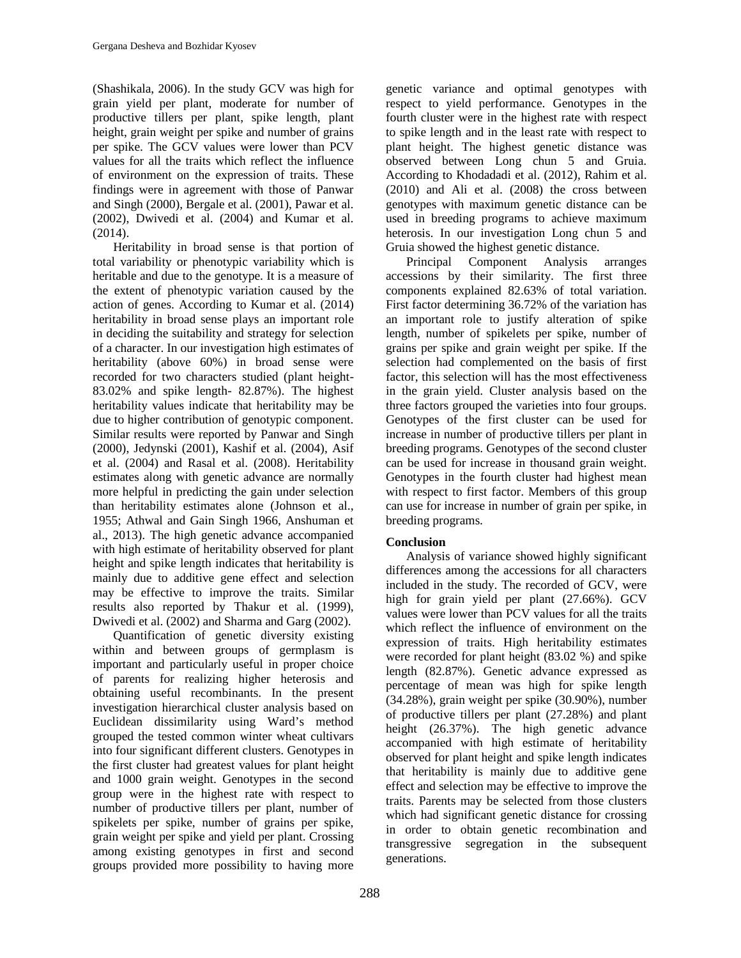(Shashikala, 2006). In the study GCV was high for grain yield per plant, moderate for number of productive tillers per plant, spike length, plant height, grain weight per spike and number of grains per spike. The GCV values were lower than PCV values for all the traits which reflect the influence of environment on the expression of traits. These findings were in agreement with those of Panwar and Singh (2000), Bergale et al. (2001), Pawar et al. (2002), Dwivedi et al. (2004) and Kumar et al. (2014).

Heritability in broad sense is that portion of total variability or phenotypic variability which is heritable and due to the genotype. It is a measure of the extent of phenotypic variation caused by the action of genes. According to Kumar et al. (2014) heritability in broad sense plays an important role in deciding the suitability and strategy for selection of a character. In our investigation high estimates of heritability (above 60%) in broad sense were recorded for two characters studied (plant height- 83.02% and spike length- 82.87%). The highest heritability values indicate that heritability may be due to higher contribution of genotypic component. Similar results were reported by Panwar and Singh (2000), Jedynski (2001), Kashif et al. (2004), Asif et al. (2004) and Rasal et al. (2008). Heritability estimates along with genetic advance are normally more helpful in predicting the gain under selection than heritability estimates alone (Johnson et al., 1955; Athwal and Gain Singh 1966, Anshuman et al., 2013). The high genetic advance accompanied with high estimate of heritability observed for plant height and spike length indicates that heritability is mainly due to additive gene effect and selection may be effective to improve the traits. Similar results also reported by Thakur et al. (1999), Dwivedi et al. (2002) and Sharma and Garg (2002).

Quantification of genetic diversity existing within and between groups of germplasm is important and particularly useful in proper choice of parents for realizing higher heterosis and obtaining useful recombinants. In the present investigation hierarchical cluster analysis based on Euclidean dissimilarity using Ward's method grouped the tested common winter wheat cultivars into four significant different clusters. Genotypes in the first cluster had greatest values for plant height and 1000 grain weight. Genotypes in the second group were in the highest rate with respect to number of productive tillers per plant, number of spikelets per spike, number of grains per spike, grain weight per spike and yield per plant. Crossing among existing genotypes in first and second groups provided more possibility to having more genetic variance and optimal genotypes with respect to yield performance. Genotypes in the fourth cluster were in the highest rate with respect to spike length and in the least rate with respect to plant height. The highest genetic distance was observed between Long chun 5 and Gruia. According to Khodadadi et al. (2012), Rahim et al. (2010) and Ali et al. (2008) the cross between genotypes with maximum genetic distance can be used in breeding programs to achieve maximum heterosis. In our investigation Long chun 5 and Gruia showed the highest genetic distance.

Principal Component Analysis arranges accessions by their similarity. The first three components explained 82.63% of total variation. First factor determining 36.72% of the variation has an important role to justify alteration of spike length, number of spikelets per spike, number of grains per spike and grain weight per spike. If the selection had complemented on the basis of first factor, this selection will has the most effectiveness in the grain yield. Cluster analysis based on the three factors grouped the varieties into four groups. Genotypes of the first cluster can be used for increase in number of productive tillers per plant in breeding programs. Genotypes of the second cluster can be used for increase in thousand grain weight. Genotypes in the fourth cluster had highest mean with respect to first factor. Members of this group can use for increase in number of grain per spike, in breeding programs.

# **Conclusion**

Analysis of variance showed highly significant differences among the accessions for all characters included in the study. The recorded of GCV, were high for grain yield per plant (27.66%). GCV values were lower than PCV values for all the traits which reflect the influence of environment on the expression of traits. High heritability estimates were recorded for plant height (83.02 %) and spike length (82.87%). Genetic advance expressed as percentage of mean was high for spike length (34.28%), grain weight per spike (30.90%), number of productive tillers per plant (27.28%) and plant height (26.37%). The high genetic advance accompanied with high estimate of heritability observed for plant height and spike length indicates that heritability is mainly due to additive gene effect and selection may be effective to improve the traits. Parents may be selected from those clusters which had significant genetic distance for crossing in order to obtain genetic recombination and transgressive segregation in the subsequent generations.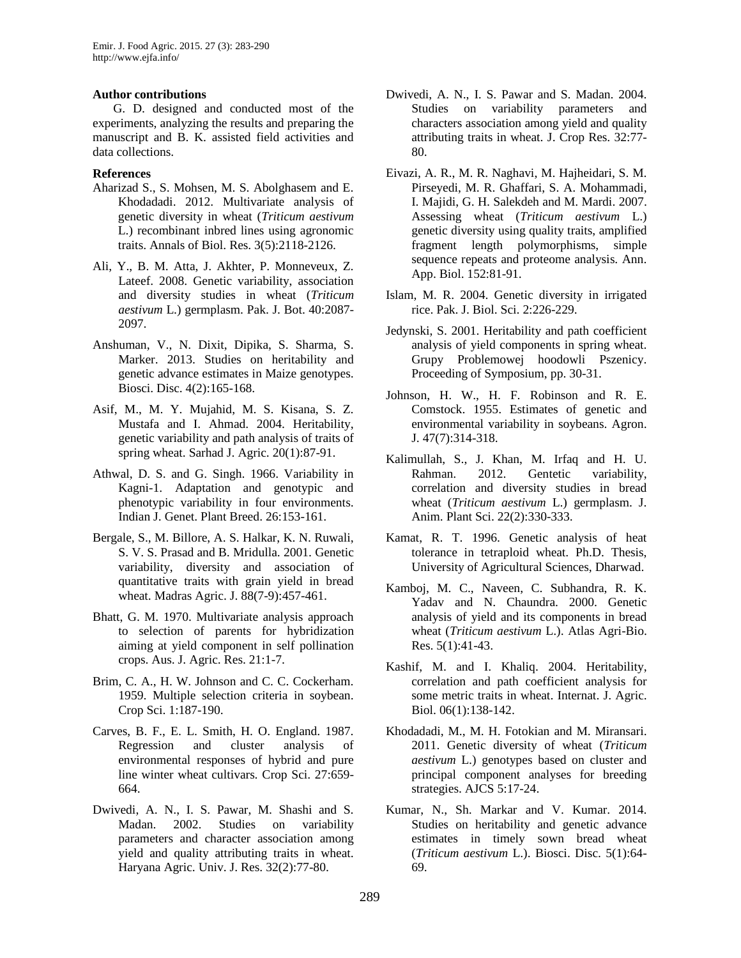# **Author contributions**

G. D. designed and conducted most of the experiments, analyzing the results and preparing the manuscript and B. K. assisted field activities and data collections.

# **References**

- Aharizad S., S. Mohsen, M. S. Abolghasem and E. Khodadadi. 2012. Multivariate analysis of genetic diversity in wheat (*Triticum aestivum* L.) recombinant inbred lines using agronomic traits. Annals of Biol. Res. 3(5):2118-2126.
- Ali, Y., B. M. Atta, J. Akhter, P. Monneveux, Z. Lateef. 2008. Genetic variability, association and diversity studies in wheat (*Triticum aestivum* L.) germplasm. Pak. J. Bot. 40:2087- 2097.
- Anshuman, V., N. Dixit, Dipika, S. Sharma, S. Marker. 2013. Studies on heritability and genetic advance estimates in Maize genotypes. Biosci. Disc. 4(2):165-168.
- Asif, M., M. Y. Mujahid, M. S. Kisana, S. Z. Mustafa and I. Ahmad. 2004. Heritability, genetic variability and path analysis of traits of spring wheat. Sarhad J. Agric. 20(1):87-91.
- Athwal, D. S. and G. Singh. 1966. Variability in Kagni-1. Adaptation and genotypic and phenotypic variability in four environments. Indian J. Genet. Plant Breed. 26:153-161.
- Bergale, S., M. Billore, A. S. Halkar, K. N. Ruwali, S. V. S. Prasad and B. Mridulla. 2001. Genetic variability, diversity and association of quantitative traits with grain yield in bread wheat. Madras Agric. J. 88(7-9):457-461.
- Bhatt, G. M. 1970. Multivariate analysis approach to selection of parents for hybridization aiming at yield component in self pollination crops. Aus. J. Agric. Res. 21:1-7.
- Brim, C. A., H. W. Johnson and C. C. Cockerham. 1959. Multiple selection criteria in soybean. Crop Sci. 1:187-190.
- Carves, B. F., E. L. Smith, H. O. England. 1987. Regression and cluster analysis of environmental responses of hybrid and pure line winter wheat cultivars. Crop Sci. 27:659- 664.
- Dwivedi, A. N., I. S. Pawar, M. Shashi and S. Madan. 2002. Studies on variability parameters and character association among yield and quality attributing traits in wheat. Haryana Agric. Univ. J. Res. 32(2):77-80.
- Dwivedi, A. N., I. S. Pawar and S. Madan. 2004. Studies on variability parameters and characters association among yield and quality attributing traits in wheat. J. Crop Res. 32:77- 80.
- Eivazi, A. R., M. R. Naghavi, M. Hajheidari, S. M. Pirseyedi, M. R. Ghaffari, S. A. Mohammadi, I. Majidi, G. H. Salekdeh and M. Mardi. 2007. Assessing wheat (*Triticum aestivum* L.) genetic diversity using quality traits, amplified fragment length polymorphisms, simple sequence repeats and proteome analysis. Ann. App. Biol. 152:81-91.
- Islam, M. R. 2004. Genetic diversity in irrigated rice. Pak. J. Biol. Sci. 2:226-229.
- Jedynski, S. 2001. Heritability and path coefficient analysis of yield components in spring wheat. Grupy Problemowej hoodowli Pszenicy. Proceeding of Symposium, pp. 30-31.
- Johnson, H. W., H. F. Robinson and R. E. Comstock. 1955. Estimates of genetic and environmental variability in soybeans. Agron. J. 47(7):314-318.
- Kalimullah, S., J. Khan, M. Irfaq and H. U. Rahman. 2012. Gentetic variability, correlation and diversity studies in bread wheat (*Triticum aestivum* L.) germplasm. J. Anim. Plant Sci. 22(2):330-333.
- Kamat, R. T. 1996. Genetic analysis of heat tolerance in tetraploid wheat. Ph.D. Thesis, University of Agricultural Sciences, Dharwad.
- Kamboj, M. C., Naveen, C. Subhandra, R. K. Yadav and N. Chaundra. 2000. Genetic analysis of yield and its components in bread wheat (*Triticum aestivum* L.). Atlas Agri-Bio. Res. 5(1):41-43.
- Kashif, M. and I. Khaliq. 2004. Heritability, correlation and path coefficient analysis for some metric traits in wheat. Internat. J. Agric. Biol. 06(1):138-142.
- Khodadadi, M., M. H. Fotokian and M. Miransari. 2011. Genetic diversity of wheat (*Triticum aestivum* L.) genotypes based on cluster and principal component analyses for breeding strategies. AJCS 5:17-24.
- Kumar, N., Sh. Markar and V. Kumar. 2014. Studies on heritability and genetic advance estimates in timely sown bread wheat (*Triticum aestivum* L.). Biosci. Disc. 5(1):64- 69.